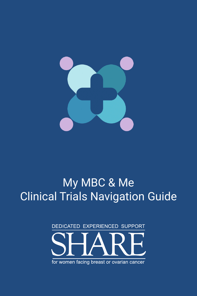

# My MBC & Me Clinical Trials Navigation Guide

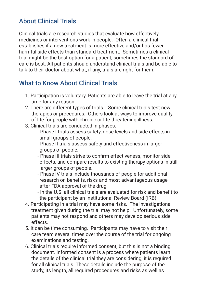# About Clinical Trials

Clinical trials are research studies that evaluate how effectively medicines or interventions work in people. Often a clinical trial establishes if a new treatment is more effective and/or has fewer harmful side effects than standard treatment. Sometimes a clinical trial might be the best option for a patient; sometimes the standard of care is best. All patients should understand clinical trials and be able to talk to their doctor about what, if any, trials are right for them.

#### What to Know About Clinical Trials

- 1. Participation is voluntary. Patients are able to leave the trial at any time for any reason.
- 2. There are different types of trials. Some clinical trials test new therapies or procedures. Others look at ways to improve quality of life for people with chronic or life threatening illness.
- 3. Clinical trials are conducted in phases.
	- Phase I trials assess safety, dose levels and side effects in small groups of people.
	- Phase II trials assess safety and effectiveness in larger groups of people.
	- Phase III trials strive to confirm effectiveness, monitor side effects, and compare results to existing therapy options in still larger groups of people.
	- Phase IV trials include thousands of people for additional research on benefits, risks and most advantageous usage after FDA approval of the drug.
	- In the U.S. all clinical trials are evaluated for risk and benefit to the participant by an Institutional Review Board (IRB).
- 4. Participating in a trial may have some risks. The investigational treatment given during the trial may not help. Unfortunately, some patients may not respond and others may develop serious side effects.
- 5. It can be time consuming. Participants may have to visit their care team several times over the course of the trial for ongoing examinations and testing.
- 6. Clinical trials require informed consent, but this is not a binding document. Informed consent is a process where patients learn the details of the clinical trial they are considering; it is required for all clinical trials. These details include the purpose of the study, its length, all required procedures and risks as well as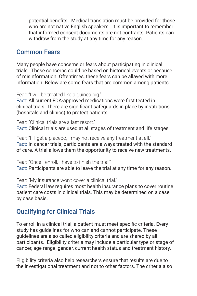potential benefits. Medical translation must be provided for those who are not native English speakers. It is important to remember that informed consent documents are not contracts. Patients can withdraw from the study at any time for any reason.

#### Common Fears

Many people have concerns or fears about participating in clinical trials. These concerns could be based on historical events or because of misinformation. Oftentimes, these fears can be allayed with more information. Below are some fears that are common among patients.

Fear: "I will be treated like a guinea pig."

Fact: All current FDA-approved medications were first tested in clinical trials. There are significant safeguards in place by institutions (hospitals and clinics) to protect patients.

Fear: "Clinical trials are a last resort" Fact: Clinical trials are used at all stages of treatment and life stages.

Fear: "If I get a placebo, I may not receive any treatment at all." Fact: In cancer trials, participants are always treated with the standard of care. A trial allows them the opportunity to receive new treatments.

Fear: "Once I enroll, I have to finish the trial." Fact: Participants are able to leave the trial at any time for any reason.

Fear: "My insurance won't cover a clinical trial."

Fact: Federal law requires most health insurance plans to cover routine patient care costs in clinical trials. This may be determined on a case by case basis.

## Qualifying for Clinical Trials

To enroll in a clinical trial, a patient must meet specific criteria. Every study has guidelines for who can and cannot participate. These guidelines are also called eligibility criteria and are shared by all participants. Eligibility criteria may include a particular type or stage of cancer, age range, gender, current health status and treatment history.

Eligibility criteria also help researchers ensure that results are due to the investigational treatment and not to other factors. The criteria also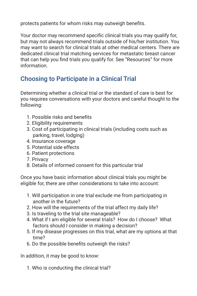protects patients for whom risks may outweigh benefits.

Your doctor may recommend specific clinical trials you may qualify for, but may not always recommend trials outside of his/her institution. You may want to search for clinical trials at other medical centers. There are dedicated clinical trial matching services for metastatic breast cancer that can help you find trials you qualify for. See "Resources" for more information.

# Choosing to Participate in a Clinical Trial

Determining whether a clinical trial or the standard of care is best for you requires conversations with your doctors and careful thought to the following:

- 1. Possible risks and benefits
- 2. Eligibility requirements
- 3. Cost of participating in clinical trials (including costs such as parking, travel, lodging)
- 4. Insurance coverage
- 5. Potential side effects
- 6. Patient protections
- 7. Privacy
- 8. Details of informed consent for this particular trial

Once you have basic information about clinical trials you might be eligible for, there are other considerations to take into account:

- 1. Will participation in one trial exclude me from participating in another in the future?
- 2. How will the requirements of the trial affect my daily life?
- 3. Is traveling to the trial site manageable?
- 4. What if I am eligible for several trials? How do I choose? What factors should I consider in making a decision?
- 5. If my disease progresses on this trial, what are my options at that time?
- 6. Do the possible benefits outweigh the risks?

In addition, it may be good to know:

1. Who is conducting the clinical trial?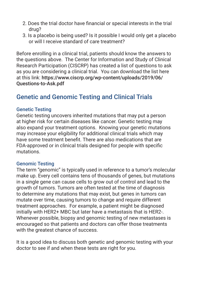- 2. Does the trial doctor have financial or special interests in the trial drug?
- 3. Is a placebo is being used? Is it possible I would only get a placebo or will I receive standard of care treatment?

Before enrolling in a clinical trial, patients should know the answers to the questions above. The Center for Information and Study of Clinical Research Participation (CISCRP) has created a list of questions to ask as you are considering a clinical trial. You can download the list here at this link: https://www.ciscrp.org/wp-content/uploads/2019/06/ Questions-to-Ask.pdf

#### Genetic and Genomic Testing and Clinical Trials

#### Genetic Testing

Genetic testing uncovers inherited mutations that may put a person at higher risk for certain diseases like cancer. Genetic testing may also expand your treatment options. Knowing your genetic mutations may increase your eligibility for additional clinical trials which may have some treatment benefit. There are also medications that are FDA-approved or in clinical trials designed for people with specific mutations.

#### Genomic Testing

The term "genomic" is typically used in reference to a tumor's molecular make up. Every cell contains tens of thousands of genes, but mutations in a single gene can cause cells to grow out of control and lead to the growth of tumors. Tumors are often tested at the time of diagnosis to determine any mutations that may exist, but genes in tumors can mutate over time, causing tumors to change and require different treatment approaches. For example, a patient might be diagnosed initially with HER2+ MBC but later have a metastasis that is HER2-. Whenever possible, biopsy and genomic testing of new metastases is encouraged so that patients and doctors can offer those treatments with the greatest chance of success.

It is a good idea to discuss both genetic and genomic testing with your doctor to see if and when these tests are right for you.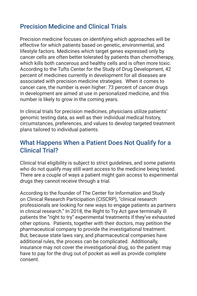## Precision Medicine and Clinical Trials

Precision medicine focuses on identifying which approaches will be effective for which patients based on genetic, environmental, and lifestyle factors. Medicines which target genes expressed only by cancer cells are often better tolerated by patients than chemotherapy, which kills both cancerous and healthy cells and is often more toxic. According to the Tufts Center for the Study of Drug Development, 42 percent of medicines currently in development for all diseases are associated with precision medicine strategies. When it comes to cancer care, the number is even higher: 73 percent of cancer drugs in development are aimed at use in personalized medicine, and this number is likely to grow in the coming years.

In clinical trials for precision medicines, physicians utilize patients' genomic testing data, as well as their individual medical history, circumstances, preferences, and values to develop targeted treatment plans tailored to individual patients.

#### What Happens When a Patient Does Not Qualify for a Clinical Trial?

Clinical trial eligibility is subject to strict guidelines, and some patients who do not qualify may still want access to the medicine being tested. There are a couple of ways a patient might gain access to experimental drugs they cannot receive through a trial.

According to the founder of The Center for Information and Study on Clinical Research Participation (CISCRP), "clinical research professionals are looking for new ways to engage patients as partners in clinical research." In 2018, the Right to Try Act gave terminally ill patients the "right to try" experimental treatments if they've exhausted other options. Patients, together with their doctors, may petition the pharmaceutical company to provide the investigational treatment. But, because state laws vary, and pharmaceutical companies have additional rules, the process can be complicated. Additionally, insurance may not cover the investigational drug, so the patient may have to pay for the drug out of pocket as well as provide complete consent.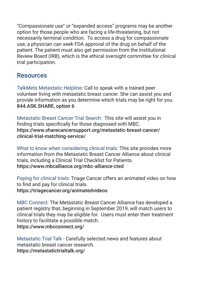"Compassionate use" or "expanded access" programs may be another option for those people who are facing a life-threatening, but not necessarily terminal condition. To access a drug for compassionate use, a physician can seek FDA approval of the drug on behalf of the patient. The patient must also get permission from the Institutional Review Board (IRB), which is the ethical oversight committee for clinical trial participation.

#### Resources

TalkMets Metastatic Helpline: Call to speak with a trained peer volunteer living with metastatic breast cancer. She can assist you and provide information as you determine which trials may be right for you. 844.ASK.SHARE, option 6

Metastatic Breast Cancer Trial Search: This site will assist you in finding trials specifically for those diagnosed with MBC. https://www.sharecancersupport.org/metastatic-breast-cancer/ clinical-trial-matching-service/

What to know when considering clinical trials: This site provides more information from the Metastatic Breast Cancer Alliance about clinical trials, including a Clinical Trial Checklist for Patients. https://www.mbcalliance.org/mbc-alliance-cted

Paying for clinical trials: Triage Cancer offers an animated video on how to find and pay for clinical trials. https://triagecancer.org/animatedvideos

MBC Connect: The Metastatic Breast Cancer Alliance has developed a patient registry that, beginning in September 2019, will match users to clinical trials they may be eligible for. Users must enter their treatment history to facilitate a possible match. https://www.mbcconnect.org/

Metastatic Trial Talk - Carefully selected news and features about metastatic breast cancer research. https://metastatictrialtalk.org/